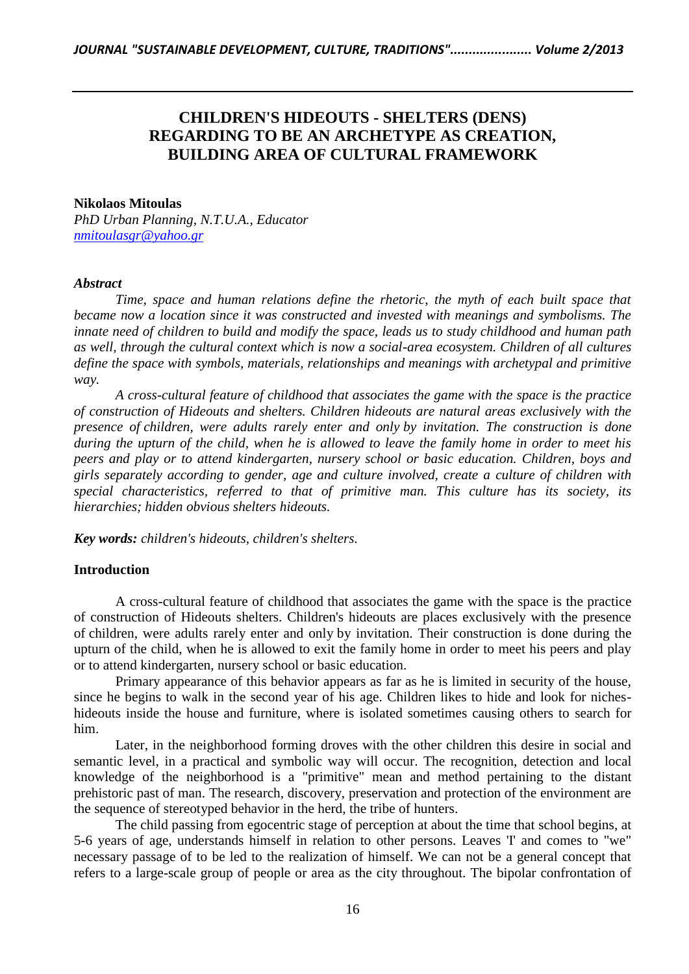# **CHILDREN'S HIDEOUTS - SHELTERS (DENS) REGARDING TO BE AN ARCHETYPE AS CREATION, BUILDING AREA OF CULTURAL FRAMEWORK**

#### **Nikolaos Mitoulas**

*PhD Urban Planning, N.T.U.A., Educator [nmitoulasgr@yahoo.gr](mailto:nmitoulasgr@yahoo.gr)*

#### *Abstract*

*Time, space and human relations define the rhetoric, the myth of each built space that became now a location since it was constructed and invested with meanings and symbolisms. The innate need of children to build and modify the space, leads us to study childhood and human path as well, through the cultural context which is now a social-area ecosystem. Children of all cultures define the space with symbols, materials, relationships and meanings with archetypal and primitive way.*

*A cross-cultural feature of childhood that associates the game with the space is the practice of construction of Hideouts and shelters. Children hideouts are natural areas exclusively with the presence of children, were adults rarely enter and only by invitation. The construction is done during the upturn of the child, when he is allowed to leave the family home in order to meet his peers and play or to attend kindergarten, nursery school or basic education. Children, boys and girls separately according to gender, age and culture involved, create a culture of children with special characteristics, referred to that of primitive man. This culture has its society, its hierarchies; hidden obvious shelters hideouts.*

*Key words: children's hideouts, children's shelters.*

## **Introduction**

A cross-cultural feature of childhood that associates the game with the space is the practice of construction of Hideouts shelters. Children's hideouts are places exclusively with the presence of children, were adults rarely enter and only by invitation. Their construction is done during the upturn of the child, when he is allowed to exit the family home in order to meet his peers and play or to attend kindergarten, nursery school or basic education.

Primary appearance of this behavior appears as far as he is limited in security of the house, since he begins to walk in the second year of his age. Children likes to hide and look for nicheshideouts inside the house and furniture, where is isolated sometimes causing others to search for him.

Later, in the neighborhood forming droves with the other children this desire in social and semantic level, in a practical and symbolic way will occur. The recognition, detection and local knowledge of the neighborhood is a "primitive" mean and method pertaining to the distant prehistoric past of man. The research, discovery, preservation and protection of the environment are the sequence of stereotyped behavior in the herd, the tribe of hunters.

The child passing from egocentric stage of perception at about the time that school begins, at 5-6 years of age, understands himself in relation to other persons. Leaves 'I' and comes to "we" necessary passage of to be led to the realization of himself. We can not be a general concept that refers to a large-scale group of people or area as the city throughout. The bipolar confrontation of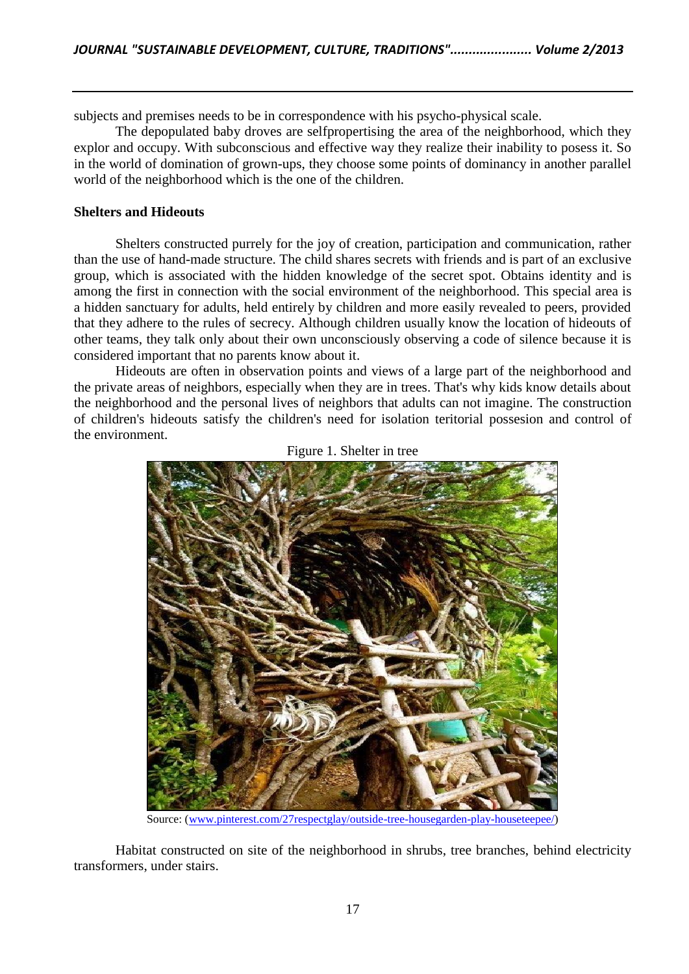subjects and premises needs to be in correspondence with his psycho-physical scale.

The depopulated baby droves are selfpropertising the area of the neighborhood, which they explor and occupy. With subconscious and effective way they realize their inability to posess it. So in the world of domination of grown-ups, they choose some points of dominancy in another parallel world of the neighborhood which is the one of the children.

## **Shelters and Hideouts**

Shelters constructed purrely for the joy of creation, participation and communication, rather than the use of hand-made structure. The child shares secrets with friends and is part of an exclusive group, which is associated with the hidden knowledge of the secret spot. Obtains identity and is among the first in connection with the social environment of the neighborhood. This special area is a hidden sanctuary for adults, held entirely by children and more easily revealed to peers, provided that they adhere to the rules of secrecy. Although children usually know the location of hideouts of other teams, they talk only about their own unconsciously observing a code of silence because it is considered important that no parents know about it.

Hideouts are often in observation points and views of a large part of the neighborhood and the private areas of neighbors, especially when they are in trees. That's why kids know details about the neighborhood and the personal lives of neighbors that adults can not imagine. The construction of children's hideouts satisfy the children's need for isolation teritorial possesion and control of the environment.



Figure 1. Shelter in tree

Source: (www.pinterest.com/27respectglay/outside-tree-housegarden-play-houseteepee/)

Habitat constructed on site of the neighborhood in shrubs, tree branches, behind electricity transformers, under stairs.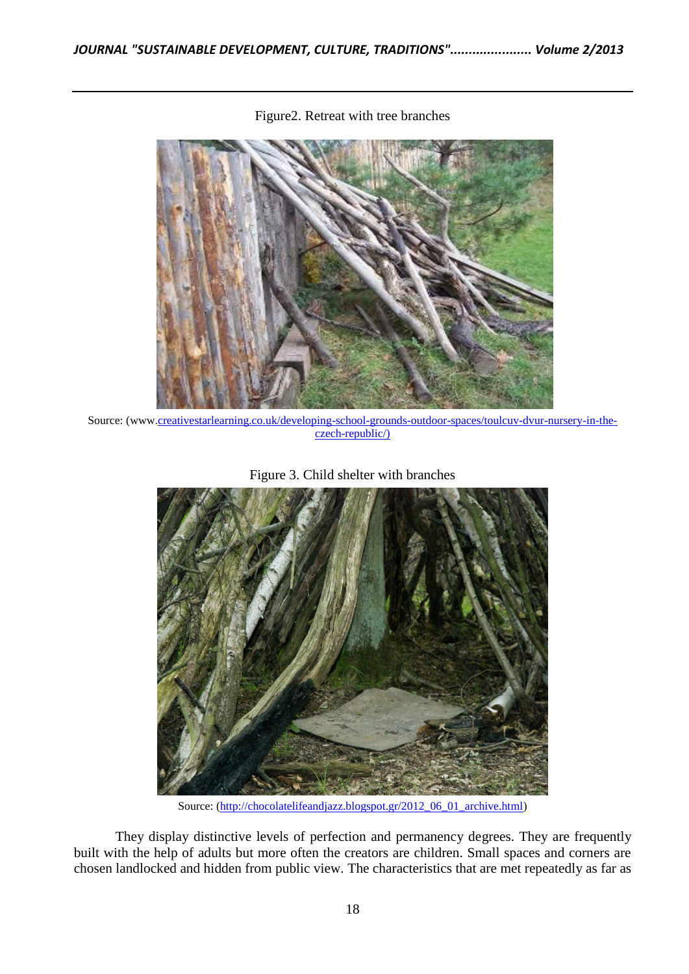

Figure2. Retreat with tree branches

Source: (www.creativestarlearning.co.uk/developing-school-grounds-outdoor-spaces/toulcuv-dvur-nursery-in-theczech-republic/)





Source: (http://chocolatelifeandjazz.blogspot.gr/2012\_06\_01\_archive.html)

They display distinctive levels of perfection and permanency degrees. They are frequently built with the help of adults but more often the creators are children. Small spaces and corners are chosen landlocked and hidden from public view. The characteristics that are met repeatedly as far as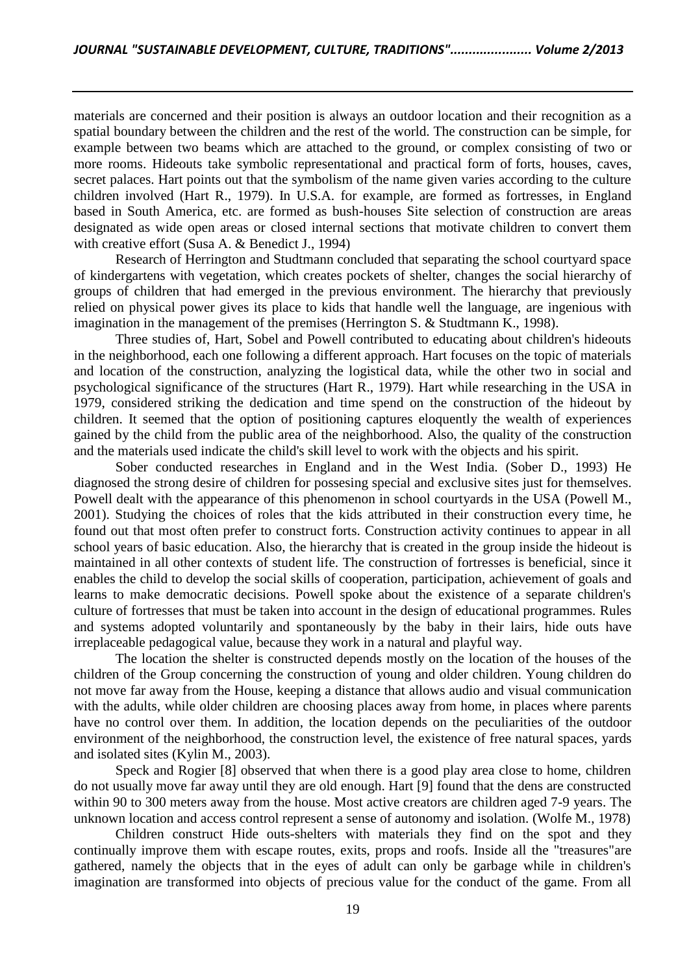materials are concerned and their position is always an outdoor location and their recognition as a spatial boundary between the children and the rest of the world. The construction can be simple, for example between two beams which are attached to the ground, or complex consisting of two or more rooms. Hideouts take symbolic representational and practical form of forts, houses, caves, secret palaces. Hart points out that the symbolism of the name given varies according to the culture children involved (Hart R., 1979). In U.S.A. for example, are formed as fortresses, in England based in South America, etc. are formed as bush-houses Site selection of construction are areas designated as wide open areas or closed internal sections that motivate children to convert them with creative effort (Susa A. & Benedict J., 1994)

Research of Herrington and Studtmann concluded that separating the school courtyard space of kindergartens with vegetation, which creates pockets of shelter, changes the social hierarchy of groups of children that had emerged in the previous environment. The hierarchy that previously relied on physical power gives its place to kids that handle well the language, are ingenious with imagination in the management of the premises (Herrington S. & Studtmann K., 1998).

Three studies of, Hart, Sobel and Powell contributed to educating about children's hideouts in the neighborhood, each one following a different approach. Hart focuses on the topic of materials and location of the construction, analyzing the logistical data, while the other two in social and psychological significance of the structures (Hart R., 1979). Hart while researching in the USA in 1979, considered striking the dedication and time spend on the construction of the hideout by children. It seemed that the option of positioning captures eloquently the wealth of experiences gained by the child from the public area of the neighborhood. Also, the quality of the construction and the materials used indicate the child's skill level to work with the objects and his spirit.

Sober conducted researches in England and in the West India. (Sober D., 1993) He diagnosed the strong desire of children for possesing special and exclusive sites just for themselves. Powell dealt with the appearance of this phenomenon in school courtyards in the USA (Powell M., 2001). Studying the choices of roles that the kids attributed in their construction every time, he found out that most often prefer to construct forts. Construction activity continues to appear in all school years of basic education. Also, the hierarchy that is created in the group inside the hideout is maintained in all other contexts of student life. The construction of fortresses is beneficial, since it enables the child to develop the social skills of cooperation, participation, achievement of goals and learns to make democratic decisions. Powell spoke about the existence of a separate children's culture of fortresses that must be taken into account in the design of educational programmes. Rules and systems adopted voluntarily and spontaneously by the baby in their lairs, hide outs have irreplaceable pedagogical value, because they work in a natural and playful way.

The location the shelter is constructed depends mostly on the location of the houses of the children of the Group concerning the construction of young and older children. Young children do not move far away from the House, keeping a distance that allows audio and visual communication with the adults, while older children are choosing places away from home, in places where parents have no control over them. In addition, the location depends on the peculiarities of the outdoor environment of the neighborhood, the construction level, the existence of free natural spaces, yards and isolated sites (Kylin M., 2003).

Speck and Rogier [8] observed that when there is a good play area close to home, children do not usually move far away until they are old enough. Hart [9] found that the dens are constructed within 90 to 300 meters away from the house. Most active creators are children aged 7-9 years. The unknown location and access control represent a sense of autonomy and isolation. (Wolfe M., 1978)

Children construct Hide outs-shelters with materials they find on the spot and they continually improve them with escape routes, exits, props and roofs. Inside all the "treasures"are gathered, namely the objects that in the eyes of adult can only be garbage while in children's imagination are transformed into objects of precious value for the conduct of the game. From all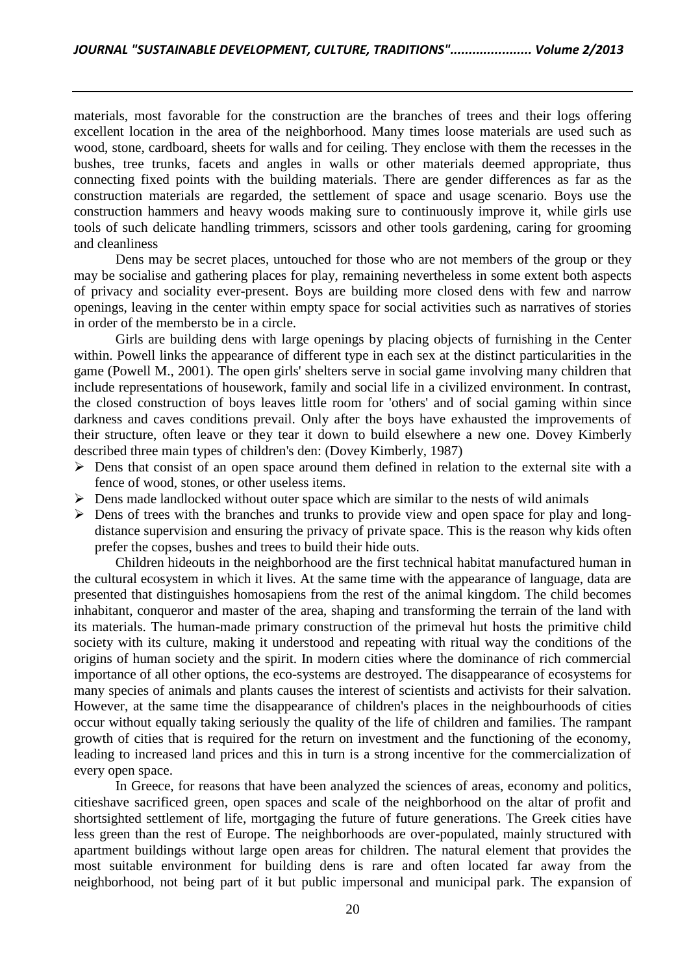materials, most favorable for the construction are the branches of trees and their logs offering excellent location in the area of the neighborhood. Many times loose materials are used such as wood, stone, cardboard, sheets for walls and for ceiling. They enclose with them the recesses in the bushes, tree trunks, facets and angles in walls or other materials deemed appropriate, thus connecting fixed points with the building materials. There are gender differences as far as the construction materials are regarded, the settlement of space and usage scenario. Boys use the construction hammers and heavy woods making sure to continuously improve it, while girls use tools of such delicate handling trimmers, scissors and other tools gardening, caring for grooming and cleanliness

Dens may be secret places, untouched for those who are not members of the group or they may be socialise and gathering places for play, remaining nevertheless in some extent both aspects of privacy and sociality ever-present. Boys are building more closed dens with few and narrow openings, leaving in the center within empty space for social activities such as narratives of stories in order of the membersto be in a circle.

Girls are building dens with large openings by placing objects of furnishing in the Center within. Powell links the appearance of different type in each sex at the distinct particularities in the game (Powell M., 2001). The open girls' shelters serve in social game involving many children that include representations of housework, family and social life in a civilized environment. In contrast, the closed construction of boys leaves little room for 'others' and of social gaming within since darkness and caves conditions prevail. Only after the boys have exhausted the improvements of their structure, often leave or they tear it down to build elsewhere a new one. Dovey Kimberly described three main types of children's den: (Dovey Kimberly, 1987)

- $\triangleright$  Dens that consist of an open space around them defined in relation to the external site with a fence of wood, stones, or other useless items.
- $\triangleright$  Dens made landlocked without outer space which are similar to the nests of wild animals
- $\triangleright$  Dens of trees with the branches and trunks to provide view and open space for play and longdistance supervision and ensuring the privacy of private space. This is the reason why kids often prefer the copses, bushes and trees to build their hide outs.

Children hideouts in the neighborhood are the first technical habitat manufactured human in the cultural ecosystem in which it lives. At the same time with the appearance of language, data are presented that distinguishes homosapiens from the rest of the animal kingdom. The child becomes inhabitant, conqueror and master of the area, shaping and transforming the terrain of the land with its materials. The human-made primary construction of the primeval hut hosts the primitive child society with its culture, making it understood and repeating with ritual way the conditions of the origins of human society and the spirit. In modern cities where the dominance of rich commercial importance of all other options, the eco-systems are destroyed. The disappearance of ecosystems for many species of animals and plants causes the interest of scientists and activists for their salvation. However, at the same time the disappearance of children's places in the neighbourhoods of cities occur without equally taking seriously the quality of the life of children and families. The rampant growth of cities that is required for the return on investment and the functioning of the economy, leading to increased land prices and this in turn is a strong incentive for the commercialization of every open space.

In Greece, for reasons that have been analyzed the sciences of areas, economy and politics, citieshave sacrificed green, open spaces and scale of the neighborhood on the altar of profit and shortsighted settlement of life, mortgaging the future of future generations. The Greek cities have less green than the rest of Europe. The neighborhoods are over-populated, mainly structured with apartment buildings without large open areas for children. The natural element that provides the most suitable environment for building dens is rare and often located far away from the neighborhood, not being part of it but public impersonal and municipal park. The expansion of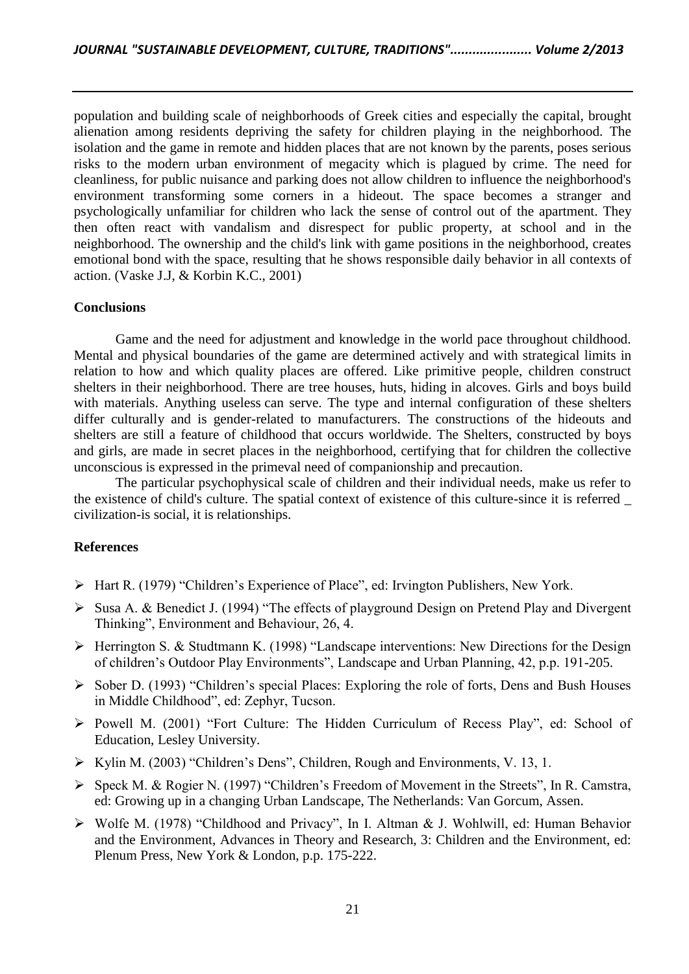population and building scale of neighborhoods of Greek cities and especially the capital, brought alienation among residents depriving the safety for children playing in the neighborhood. The isolation and the game in remote and hidden places that are not known by the parents, poses serious risks to the modern urban environment of megacity which is plagued by crime. The need for cleanliness, for public nuisance and parking does not allow children to influence the neighborhood's environment transforming some corners in a hideout. The space becomes a stranger and psychologically unfamiliar for children who lack the sense of control out of the apartment. They then often react with vandalism and disrespect for public property, at school and in the neighborhood. The ownership and the child's link with game positions in the neighborhood, creates emotional bond with the space, resulting that he shows responsible daily behavior in all contexts of action. (Vaske J.J, & Korbin K.C., 2001)

## **Conclusions**

Game and the need for adjustment and knowledge in the world pace throughout childhood. Mental and physical boundaries of the game are determined actively and with strategical limits in relation to how and which quality places are offered. Like primitive people, children construct shelters in their neighborhood. There are tree houses, huts, hiding in alcoves. Girls and boys build with materials. Anything useless can serve. The type and internal configuration of these shelters differ culturally and is gender-related to manufacturers. The constructions of the hideouts and shelters are still a feature of childhood that occurs worldwide. The Shelters, constructed by boys and girls, are made in secret places in the neighborhood, certifying that for children the collective unconscious is expressed in the primeval need of companionship and precaution.

The particular psychophysical scale of children and their individual needs, make us refer to the existence of child's culture. The spatial context of existence of this culture-since it is referred \_ civilization-is social, it is relationships.

# **References**

- Hart R. (1979) "Children's Experience of Place", ed: Irvington Publishers, New York.
- $\triangleright$  Susa A. & Benedict J. (1994) "The effects of playground Design on Pretend Play and Divergent Thinking", Environment and Behaviour, 26, 4.
- $\triangleright$  Herrington S. & Studtmann K. (1998) "Landscape interventions: New Directions for the Design of children's Outdoor Play Environments", Landscape and Urban Planning, 42, p.p. 191-205.
- $\triangleright$  Sober D. (1993) "Children's special Places: Exploring the role of forts, Dens and Bush Houses in Middle Childhood", ed: Zephyr, Tucson.
- Powell M. (2001) "Fort Culture: The Hidden Curriculum of Recess Play", ed: School of Education, Lesley University.
- $\triangleright$  Kylin M. (2003) "Children's Dens", Children, Rough and Environments, V. 13, 1.
- Speck M. & Rogier N. (1997) "Children's Freedom of Movement in the Streets", In R. Camstra, ed: Growing up in a changing Urban Landscape, The Netherlands: Van Gorcum, Assen.
- Wolfe M. (1978) "Childhood and Privacy", In I. Altman & J. Wohlwill, ed: Human Behavior and the Environment, Advances in Theory and Research, 3: Children and the Environment, ed: Plenum Press, New York & London, p.p. 175-222.